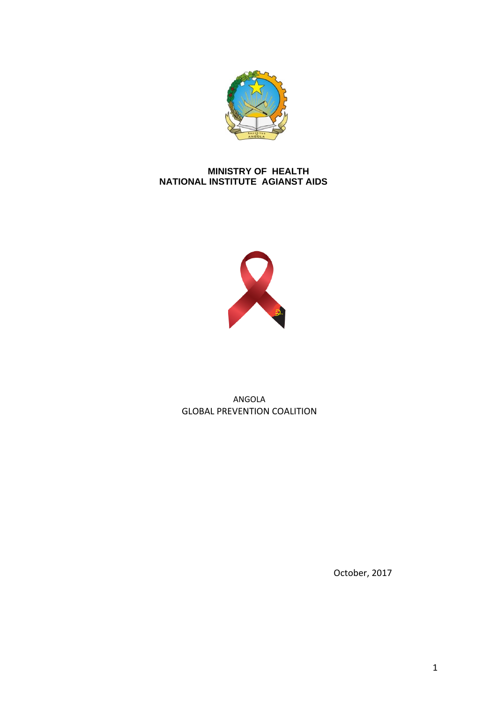

## **MINISTRY OF HEALTH NATIONAL INSTITUTE AGIANST AIDS**



## ANGOLA GLOBAL PREVENTION COALITION

October, 2017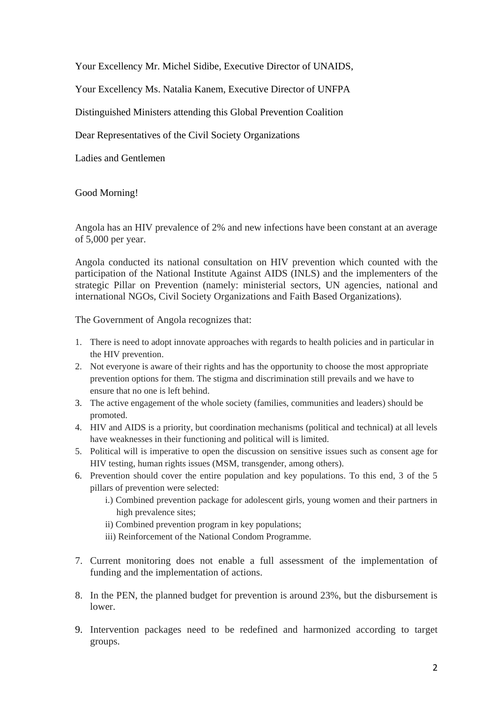Your Excellency Mr. Michel Sidibe, Executive Director of UNAIDS,

Your Excellency Ms. Natalia Kanem, Executive Director of UNFPA

Distinguished Ministers attending this Global Prevention Coalition

Dear Representatives of the Civil Society Organizations

Ladies and Gentlemen

## Good Morning!

Angola has an HIV prevalence of 2% and new infections have been constant at an average of 5,000 per year.

Angola conducted its national consultation on HIV prevention which counted with the participation of the National Institute Against AIDS (INLS) and the implementers of the strategic Pillar on Prevention (namely: ministerial sectors, UN agencies, national and international NGOs, Civil Society Organizations and Faith Based Organizations).

The Government of Angola recognizes that:

- 1. There is need to adopt innovate approaches with regards to health policies and in particular in the HIV prevention.
- 2. Not everyone is aware of their rights and has the opportunity to choose the most appropriate prevention options for them. The stigma and discrimination still prevails and we have to ensure that no one is left behind.
- 3. The active engagement of the whole society (families, communities and leaders) should be promoted.
- 4. HIV and AIDS is a priority, but coordination mechanisms (political and technical) at all levels have weaknesses in their functioning and political will is limited.
- 5. Political will is imperative to open the discussion on sensitive issues such as consent age for HIV testing, human rights issues (MSM, transgender, among others).
- 6. Prevention should cover the entire population and key populations. To this end, 3 of the 5 pillars of prevention were selected:
	- i.) Combined prevention package for adolescent girls, young women and their partners in high prevalence sites;
	- ii) Combined prevention program in key populations;
	- iii) Reinforcement of the National Condom Programme.
- 7. Current monitoring does not enable a full assessment of the implementation of funding and the implementation of actions.
- 8. In the PEN, the planned budget for prevention is around 23%, but the disbursement is lower.
- 9. Intervention packages need to be redefined and harmonized according to target groups.